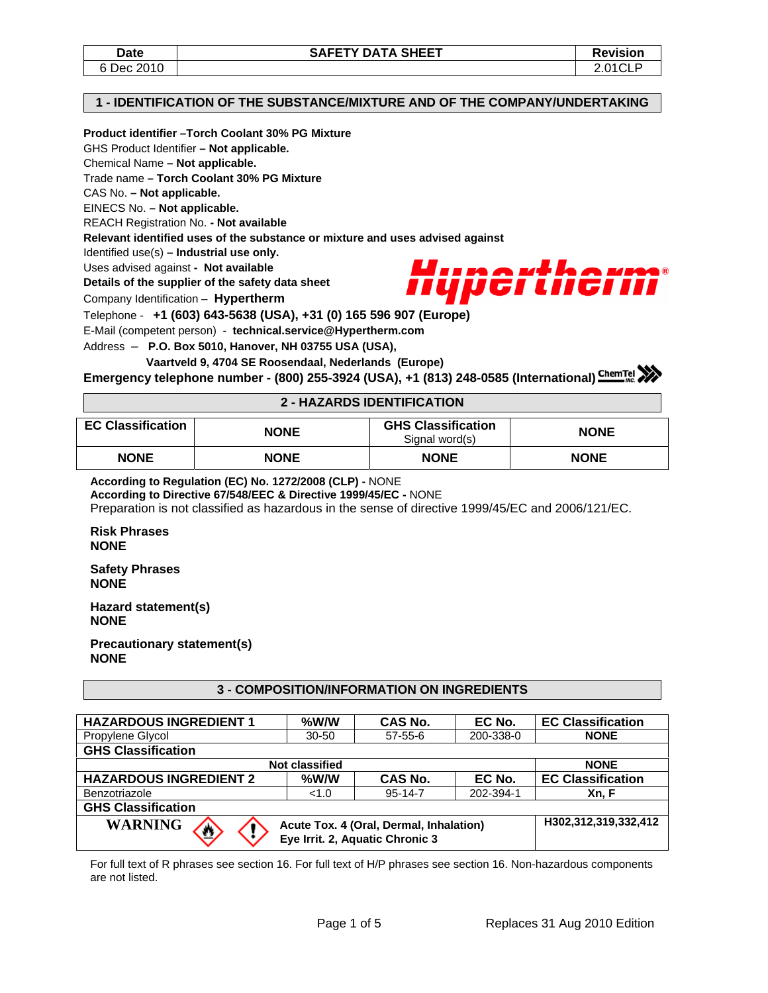#### **1 - IDENTIFICATION OF THE SUBSTANCE/MIXTURE AND OF THE COMPANY/UNDERTAKING**

## **Product identifier –Torch Coolant 30% PG Mixture**

GHS Product Identifier **– Not applicable.** 

Chemical Name **– Not applicable.** 

Trade name **– Torch Coolant 30% PG Mixture** 

CAS No. **– Not applicable.** 

EINECS No. **– Not applicable.** 

REACH Registration No. **- Not available** 

**Relevant identified uses of the substance or mixture and uses advised against** 

Identified use(s) **– Industrial use only.** 

Uses advised against **- Not available** 

**Details of the supplier of the safety data sheet** 

Company Identification – **Hypertherm**



Telephone - **+1 (603) 643-5638 (USA), +31 (0) 165 596 907 (Europe)**

E-Mail (competent person) - **technical.service@Hypertherm.com** 

Address – **P.O. Box 5010, Hanover, NH 03755 USA (USA),** 

 **Vaartveld 9, 4704 SE Roosendaal, Nederlands (Europe)**

**Emergency telephone number - (800) 255-3924 (USA), +1 (813) 248-0585 (International)**

### **2 - HAZARDS IDENTIFICATION**

| <b>EC Classification</b> | <b>NONE</b> | <b>GHS Classification</b><br>Signal word(s) | <b>NONE</b> |
|--------------------------|-------------|---------------------------------------------|-------------|
| <b>NONE</b>              | <b>NONE</b> | <b>NONE</b>                                 | <b>NONE</b> |

**According to Regulation (EC) No. 1272/2008 (CLP) -** NONE

**According to Directive 67/548/EEC & Directive 1999/45/EC -** NONE

Preparation is not classified as hazardous in the sense of directive 1999/45/EC and 2006/121/EC.

**Risk Phrases NONE** 

**Safety Phrases NONE** 

**Hazard statement(s) NONE** 

**Precautionary statement(s) NONE** 

## **3 - COMPOSITION/INFORMATION ON INGREDIENTS**

| <b>HAZARDOUS INGREDIENT 1</b>                                                                                      | $%$ W/W              | CAS No.        | EC No.    | <b>EC Classification</b> |  |
|--------------------------------------------------------------------------------------------------------------------|----------------------|----------------|-----------|--------------------------|--|
| Propylene Glycol                                                                                                   | $30 - 50$            | $57 - 55 - 6$  | 200-338-0 | <b>NONE</b>              |  |
| <b>GHS Classification</b>                                                                                          |                      |                |           |                          |  |
| <b>Not classified</b><br><b>NONE</b>                                                                               |                      |                |           |                          |  |
| <b>HAZARDOUS INGREDIENT 2</b>                                                                                      | %W/W                 | <b>CAS No.</b> | EC No.    | <b>EC Classification</b> |  |
| Benzotriazole                                                                                                      | <1.0                 | $95 - 14 - 7$  | 202-394-1 | Xn, F                    |  |
| <b>GHS Classification</b>                                                                                          |                      |                |           |                          |  |
| <b>WARNING</b><br>Acute Tox. 4 (Oral, Dermal, Inhalation)<br>$\boldsymbol{\Xi}$<br>Eye Irrit. 2, Aquatic Chronic 3 | H302,312,319,332,412 |                |           |                          |  |

For full text of R phrases see section 16. For full text of H/P phrases see section 16. Non-hazardous components are not listed.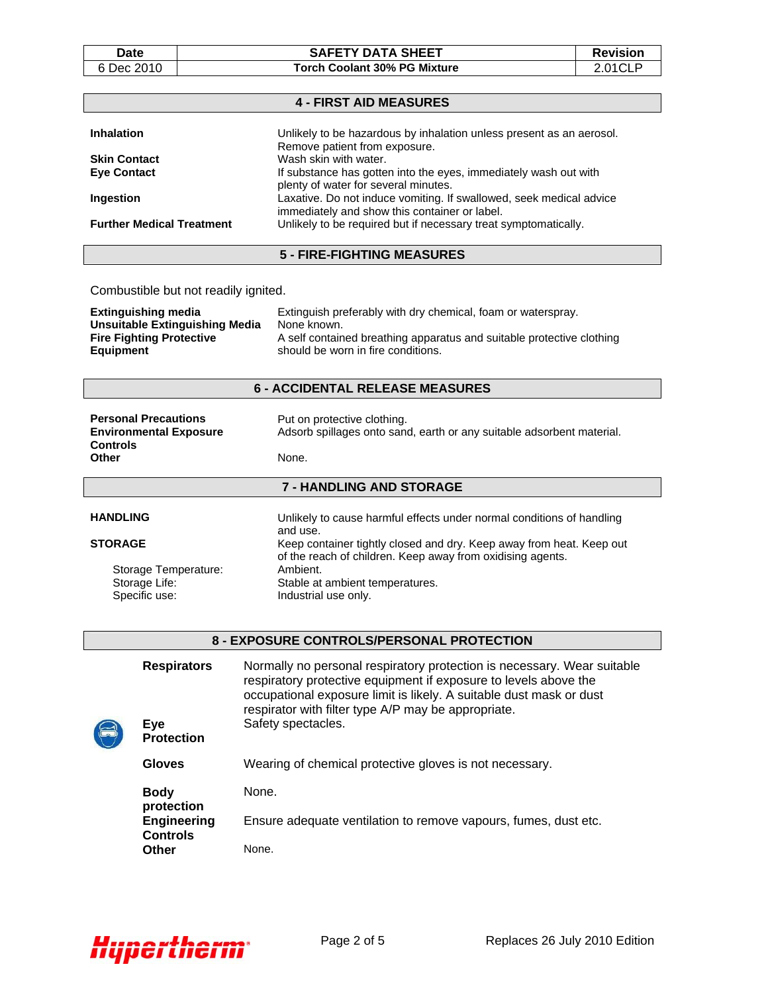## Date | SAFETY DATA SHEET | Revision 6 Dec 2010 **Torch Coolant 30% PG Mixture** 2.01CLP

| <b>4 - FIRST AID MEASURES</b>                                                                                        |  |  |
|----------------------------------------------------------------------------------------------------------------------|--|--|
| Unlikely to be hazardous by inhalation unless present as an aerosol.                                                 |  |  |
| Remove patient from exposure.<br>Wash skin with water.                                                               |  |  |
| If substance has gotten into the eyes, immediately wash out with<br>plenty of water for several minutes.             |  |  |
| Laxative. Do not induce vomiting. If swallowed, seek medical advice<br>immediately and show this container or label. |  |  |
| Unlikely to be required but if necessary treat symptomatically.                                                      |  |  |
| 5 - FIRE-FIGHTING MEASURES                                                                                           |  |  |
|                                                                                                                      |  |  |

# Combustible but not readily ignited.

| Extinguishing media             | Extinguish preferably with dry chemical, foam or waterspray.          |
|---------------------------------|-----------------------------------------------------------------------|
| Unsuitable Extinguishing Media  | None known.                                                           |
| <b>Fire Fighting Protective</b> | A self contained breathing apparatus and suitable protective clothing |
| Equipment                       | should be worn in fire conditions.                                    |

# **6 - ACCIDENTAL RELEASE MEASURES**

| <b>Personal Precautions</b><br><b>Environmental Exposure</b><br><b>Controls</b> | Put on protective clothing.<br>Adsorb spillages onto sand, earth or any suitable adsorbent material. |
|---------------------------------------------------------------------------------|------------------------------------------------------------------------------------------------------|
| Other                                                                           | None.                                                                                                |
|                                                                                 | <b>7 - HANDLING AND STORAGE</b>                                                                      |
|                                                                                 |                                                                                                      |

| <b>HANDLING</b>      | Unlikely to cause harmful effects under normal conditions of handling<br>and use.                                                  |
|----------------------|------------------------------------------------------------------------------------------------------------------------------------|
| <b>STORAGE</b>       | Keep container tightly closed and dry. Keep away from heat. Keep out<br>of the reach of children. Keep away from oxidising agents. |
| Storage Temperature: | Ambient.                                                                                                                           |
| Storage Life:        | Stable at ambient temperatures.                                                                                                    |
| Specific use:        | Industrial use only.                                                                                                               |

# **8 - EXPOSURE CONTROLS/PERSONAL PROTECTION**

| <b>Respirators</b><br>Eye<br><b>Protection</b> | Normally no personal respiratory protection is necessary. Wear suitable<br>respiratory protective equipment if exposure to levels above the<br>occupational exposure limit is likely. A suitable dust mask or dust<br>respirator with filter type A/P may be appropriate.<br>Safety spectacles. |
|------------------------------------------------|-------------------------------------------------------------------------------------------------------------------------------------------------------------------------------------------------------------------------------------------------------------------------------------------------|
| Gloves                                         | Wearing of chemical protective gloves is not necessary.                                                                                                                                                                                                                                         |
| <b>Body</b><br>protection                      | None.                                                                                                                                                                                                                                                                                           |
| <b>Engineering</b><br><b>Controls</b>          | Ensure adequate ventilation to remove vapours, fumes, dust etc.                                                                                                                                                                                                                                 |
| Other                                          | None.                                                                                                                                                                                                                                                                                           |

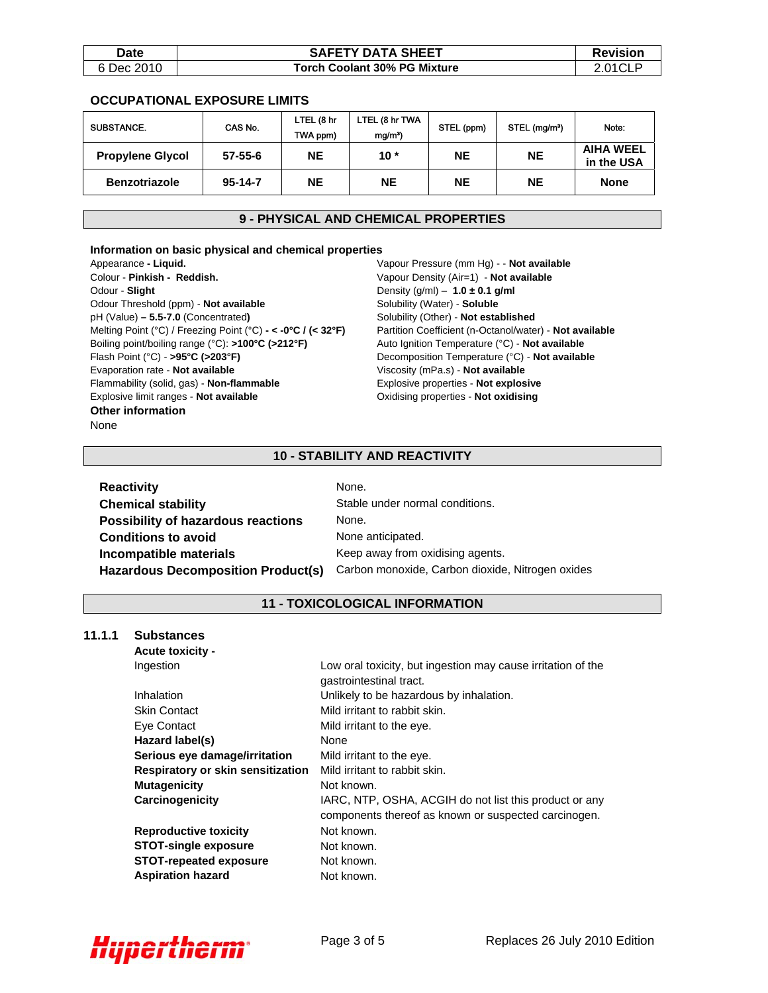| <b>Date</b> | <b>SAFETY DATA SHEET</b>     | <b>Revision</b> |
|-------------|------------------------------|-----------------|
| 6 Dec 2010  | Torch Coolant 30% PG Mixture | 2.01CLF         |

### **OCCUPATIONAL EXPOSURE LIMITS**

| SUBSTANCE.              | CAS No.       | LTEL (8 hr<br>TWA ppm) | LTEL (8 hr TWA<br>mg/m <sup>3</sup> | STEL (ppm) | STEL (mg/m <sup>3</sup> ) | Note:                          |
|-------------------------|---------------|------------------------|-------------------------------------|------------|---------------------------|--------------------------------|
| <b>Propylene Glycol</b> | $57 - 55 - 6$ | <b>NE</b>              | $10*$                               | <b>NE</b>  | NΕ                        | <b>AIHA WEEL</b><br>in the USA |
| <b>Benzotriazole</b>    | $95 - 14 - 7$ | <b>NE</b>              | <b>NE</b>                           | <b>NE</b>  | NΕ                        | None                           |

# **9 - PHYSICAL AND CHEMICAL PROPERTIES**

#### **Information on basic physical and chemical properties**

Appearance **- Liquid.** Colour - **Pinkish - Reddish.** Odour - **Slight** Odour Threshold (ppm) - **Not available** pH (Value) **– 5.5-7.0** (Concentrated**)** Melting Point (°C) / Freezing Point (°C) **- < -0°C / (< 32°F)**  Boiling point/boiling range (°C): **>100°C (>212°F)**  Flash Point (°C) - **>95°C (>203°F)** Evaporation rate - **Not available** Flammability (solid, gas) - **Non-flammable** Explosive limit ranges - **Not available Other information**  None

Vapour Pressure (mm Hg) - - **Not available** Vapour Density (Air=1) - **Not available** Density (g/ml) – **1.0 ± 0.1 g/ml** Solubility (Water) - **Soluble** Solubility (Other) - **Not established** Partition Coefficient (n-Octanol/water) - **Not available** Auto Ignition Temperature (°C) - **Not available**  Decomposition Temperature (°C) - **Not available** Viscosity (mPa.s) - **Not available** Explosive properties - **Not explosive** Oxidising properties - **Not oxidising**

## **10 - STABILITY AND REACTIVITY**

| <b>Reactivity</b>                         | None.                                            |
|-------------------------------------------|--------------------------------------------------|
| <b>Chemical stability</b>                 | Stable under normal conditions.                  |
| <b>Possibility of hazardous reactions</b> | None.                                            |
| <b>Conditions to avoid</b>                | None anticipated.                                |
| <b>Incompatible materials</b>             | Keep away from oxidising agents.                 |
| <b>Hazardous Decomposition Product(s)</b> | Carbon monoxide, Carbon dioxide, Nitrogen oxides |

# **11 - TOXICOLOGICAL INFORMATION**

#### **11.1.1 Substances**

 **Acute toxicity -** 

| Ingestion                         | Low oral toxicity, but ingestion may cause irritation of the<br>gastrointestinal tract.                        |
|-----------------------------------|----------------------------------------------------------------------------------------------------------------|
| Inhalation                        | Unlikely to be hazardous by inhalation.                                                                        |
| <b>Skin Contact</b>               | Mild irritant to rabbit skin.                                                                                  |
| Eye Contact                       | Mild irritant to the eye.                                                                                      |
| Hazard label(s)                   | None                                                                                                           |
| Serious eye damage/irritation     | Mild irritant to the eye.                                                                                      |
| Respiratory or skin sensitization | Mild irritant to rabbit skin.                                                                                  |
| <b>Mutagenicity</b>               | Not known.                                                                                                     |
| Carcinogenicity                   | IARC, NTP, OSHA, ACGIH do not list this product or any<br>components thereof as known or suspected carcinogen. |
| <b>Reproductive toxicity</b>      | Not known.                                                                                                     |
| <b>STOT-single exposure</b>       | Not known.                                                                                                     |
| <b>STOT-repeated exposure</b>     | Not known.                                                                                                     |
| <b>Aspiration hazard</b>          | Not known.                                                                                                     |

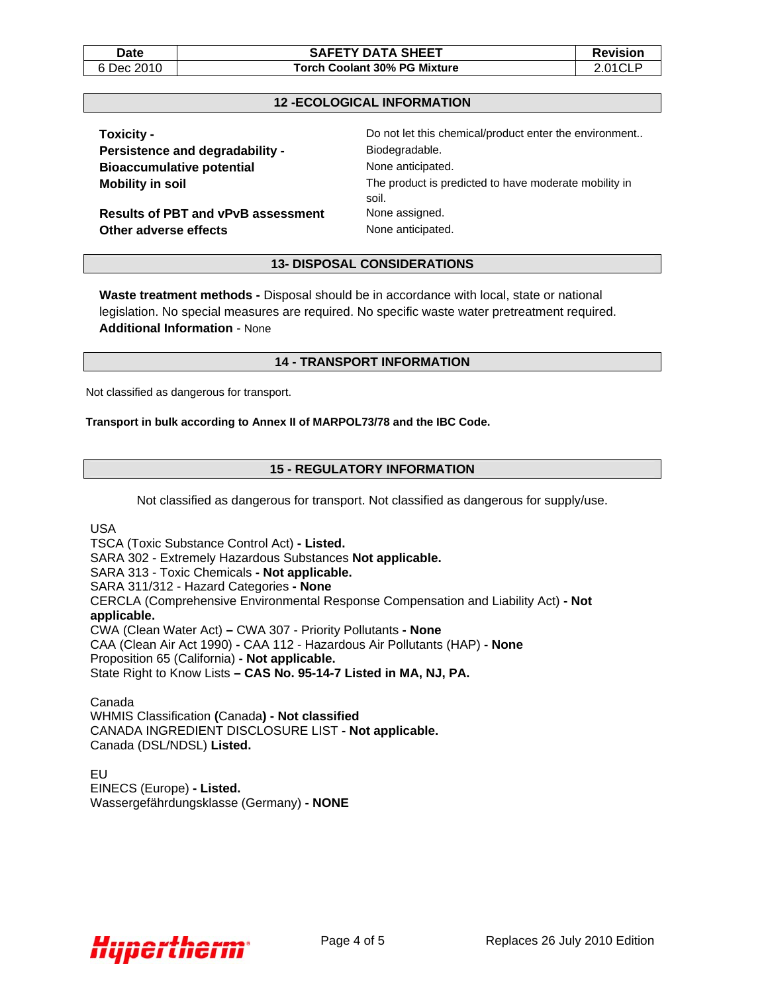#### **Date**  $\vert$  **SAFETY DATA SHEET Revision** 6 Dec 2010 **Torch Coolant 30% PG Mixture** 2.01CLP

#### **12 -ECOLOGICAL INFORMATION**

| <b>Toxicity -</b>                         | Do not let this chemical/product enter the environment         |
|-------------------------------------------|----------------------------------------------------------------|
| <b>Persistence and degradability -</b>    | Biodegradable.                                                 |
| <b>Bioaccumulative potential</b>          | None anticipated.                                              |
| <b>Mobility in soil</b>                   | The product is predicted to have moderate mobility in<br>soil. |
| <b>Results of PBT and vPvB assessment</b> | None assigned.                                                 |
| Other adverse effects                     | None anticipated.                                              |

**13- DISPOSAL CONSIDERATIONS** 

**Waste treatment methods -** Disposal should be in accordance with local, state or national legislation. No special measures are required. No specific waste water pretreatment required. **Additional Information** - None

#### **14 - TRANSPORT INFORMATION**

Not classified as dangerous for transport.

#### **Transport in bulk according to Annex II of MARPOL73/78 and the IBC Code.**

## **15 - REGULATORY INFORMATION**

Not classified as dangerous for transport. Not classified as dangerous for supply/use.

USA

TSCA (Toxic Substance Control Act) **- Listed.**  SARA 302 - Extremely Hazardous Substances **Not applicable.**  SARA 313 - Toxic Chemicals **- Not applicable.**  SARA 311/312 - Hazard Categories **- None**  CERCLA (Comprehensive Environmental Response Compensation and Liability Act) **- Not applicable.**  CWA (Clean Water Act) **–** CWA 307 - Priority Pollutants **- None**  CAA (Clean Air Act 1990) **-** CAA 112 - Hazardous Air Pollutants (HAP) **- None**  Proposition 65 (California) **- Not applicable.**  State Right to Know Lists **– CAS No. 95-14-7 Listed in MA, NJ, PA.** 

Canada WHMIS Classification **(**Canada**) - Not classified**  CANADA INGREDIENT DISCLOSURE LIST **- Not applicable.**  Canada (DSL/NDSL) **Listed.** 

EU EINECS (Europe) **- Listed.**  Wassergefährdungsklasse (Germany) **- NONE**